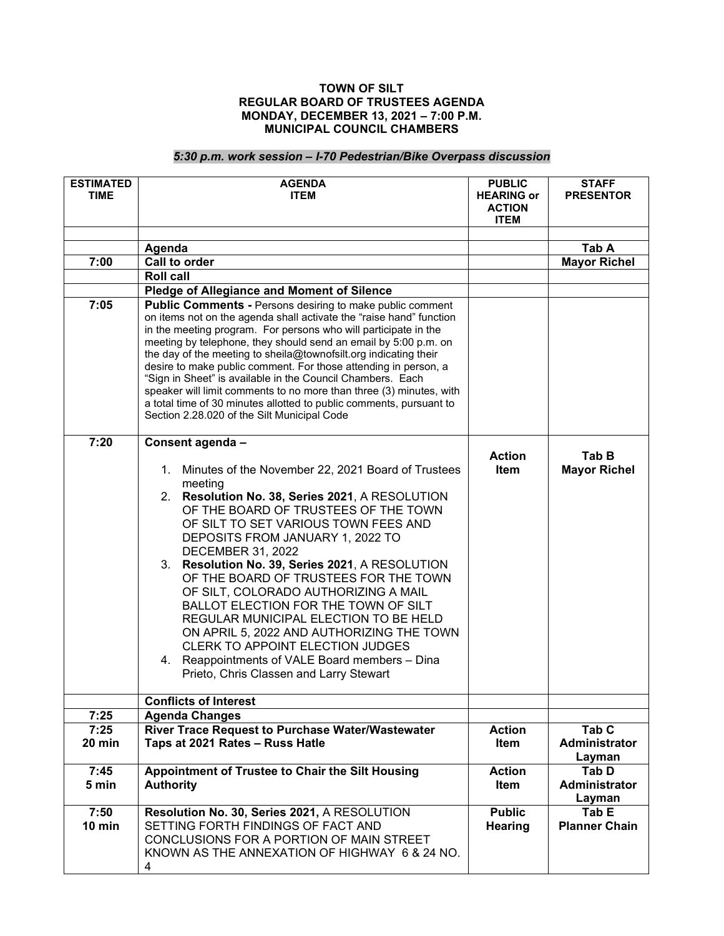## **TOWN OF SILT REGULAR BOARD OF TRUSTEES AGENDA MONDAY, DECEMBER 13, 2021 – 7:00 P.M. MUNICIPAL COUNCIL CHAMBERS**

## *5:30 p.m. work session – I-70 Pedestrian/Bike Overpass discussion*

| <b>ESTIMATED</b><br><b>TIME</b> | <b>AGENDA</b><br><b>ITEM</b>                                                                                                                                                                                                                                                                                                                                                                                                                                                                                                                                                                                                                                                 | <b>PUBLIC</b><br><b>HEARING or</b><br><b>ACTION</b><br><b>ITEM</b> | <b>STAFF</b><br><b>PRESENTOR</b>                   |
|---------------------------------|------------------------------------------------------------------------------------------------------------------------------------------------------------------------------------------------------------------------------------------------------------------------------------------------------------------------------------------------------------------------------------------------------------------------------------------------------------------------------------------------------------------------------------------------------------------------------------------------------------------------------------------------------------------------------|--------------------------------------------------------------------|----------------------------------------------------|
|                                 |                                                                                                                                                                                                                                                                                                                                                                                                                                                                                                                                                                                                                                                                              |                                                                    |                                                    |
|                                 | Agenda                                                                                                                                                                                                                                                                                                                                                                                                                                                                                                                                                                                                                                                                       |                                                                    | Tab A                                              |
| 7:00                            | Call to order                                                                                                                                                                                                                                                                                                                                                                                                                                                                                                                                                                                                                                                                |                                                                    | <b>Mayor Richel</b>                                |
|                                 | <b>Roll call</b><br><b>Pledge of Allegiance and Moment of Silence</b>                                                                                                                                                                                                                                                                                                                                                                                                                                                                                                                                                                                                        |                                                                    |                                                    |
| 7:05                            | Public Comments - Persons desiring to make public comment                                                                                                                                                                                                                                                                                                                                                                                                                                                                                                                                                                                                                    |                                                                    |                                                    |
|                                 | on items not on the agenda shall activate the "raise hand" function<br>in the meeting program. For persons who will participate in the<br>meeting by telephone, they should send an email by 5:00 p.m. on<br>the day of the meeting to sheila@townofsilt.org indicating their<br>desire to make public comment. For those attending in person, a<br>"Sign in Sheet" is available in the Council Chambers. Each<br>speaker will limit comments to no more than three (3) minutes, with<br>a total time of 30 minutes allotted to public comments, pursuant to<br>Section 2.28.020 of the Silt Municipal Code                                                                  |                                                                    |                                                    |
| 7:20                            | Consent agenda -                                                                                                                                                                                                                                                                                                                                                                                                                                                                                                                                                                                                                                                             |                                                                    |                                                    |
|                                 | Minutes of the November 22, 2021 Board of Trustees<br>1.<br>meeting<br>2. Resolution No. 38, Series 2021, A RESOLUTION<br>OF THE BOARD OF TRUSTEES OF THE TOWN<br>OF SILT TO SET VARIOUS TOWN FEES AND<br>DEPOSITS FROM JANUARY 1, 2022 TO<br><b>DECEMBER 31, 2022</b><br>Resolution No. 39, Series 2021, A RESOLUTION<br>3.<br>OF THE BOARD OF TRUSTEES FOR THE TOWN<br>OF SILT, COLORADO AUTHORIZING A MAIL<br>BALLOT ELECTION FOR THE TOWN OF SILT<br>REGULAR MUNICIPAL ELECTION TO BE HELD<br>ON APRIL 5, 2022 AND AUTHORIZING THE TOWN<br>CLERK TO APPOINT ELECTION JUDGES<br>4. Reappointments of VALE Board members - Dina<br>Prieto, Chris Classen and Larry Stewart | <b>Action</b><br>Item                                              | Tab B<br><b>Mayor Richel</b>                       |
|                                 | <b>Conflicts of Interest</b>                                                                                                                                                                                                                                                                                                                                                                                                                                                                                                                                                                                                                                                 |                                                                    |                                                    |
| 7:25                            | <b>Agenda Changes</b>                                                                                                                                                                                                                                                                                                                                                                                                                                                                                                                                                                                                                                                        |                                                                    |                                                    |
| 7:25<br>20 min                  | River Trace Request to Purchase Water/Wastewater<br>Taps at 2021 Rates - Russ Hatle                                                                                                                                                                                                                                                                                                                                                                                                                                                                                                                                                                                          | <b>Action</b><br>Item                                              | Tab <sub>C</sub><br><b>Administrator</b><br>Layman |
| 7:45<br>5 min                   | Appointment of Trustee to Chair the Silt Housing<br><b>Authority</b>                                                                                                                                                                                                                                                                                                                                                                                                                                                                                                                                                                                                         | <b>Action</b><br>Item                                              | Tab D<br>Administrator<br>Layman                   |
| 7:50<br>$10$ min                | Resolution No. 30, Series 2021, A RESOLUTION<br>SETTING FORTH FINDINGS OF FACT AND<br>CONCLUSIONS FOR A PORTION OF MAIN STREET<br>KNOWN AS THE ANNEXATION OF HIGHWAY 6 & 24 NO.<br>4                                                                                                                                                                                                                                                                                                                                                                                                                                                                                         | <b>Public</b><br><b>Hearing</b>                                    | Tab E<br><b>Planner Chain</b>                      |